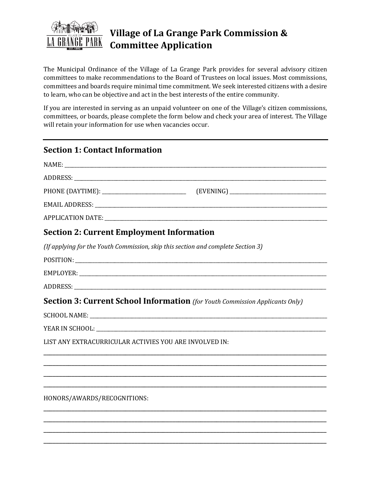

The Municipal Ordinance of the Village of La Grange Park provides for several advisory citizen committees to make recommendations to the Board of Trustees on local issues. Most commissions, committees and boards require minimal time commitment. We seek interested citizens with a desire to learn, who can be objective and act in the best interests of the entire community.

If you are interested in serving as an unpaid volunteer on one of the Village's citizen commissions, committees, or boards, please complete the form below and check your area of interest. The Village will retain your information for use when vacancies occur.

| <b>Section 1: Contact Information</b>                  |                                                                                     |
|--------------------------------------------------------|-------------------------------------------------------------------------------------|
|                                                        |                                                                                     |
|                                                        |                                                                                     |
|                                                        |                                                                                     |
|                                                        |                                                                                     |
|                                                        |                                                                                     |
| <b>Section 2: Current Employment Information</b>       |                                                                                     |
|                                                        | (If applying for the Youth Commission, skip this section and complete Section 3)    |
|                                                        |                                                                                     |
|                                                        |                                                                                     |
|                                                        |                                                                                     |
|                                                        | <b>Section 3: Current School Information</b> (for Youth Commission Applicants Only) |
|                                                        |                                                                                     |
|                                                        |                                                                                     |
| LIST ANY EXTRACURRICULAR ACTIVIES YOU ARE INVOLVED IN: |                                                                                     |
|                                                        |                                                                                     |
|                                                        |                                                                                     |
|                                                        |                                                                                     |
| HONORS/AWARDS/RECOGNITIONS:                            |                                                                                     |
|                                                        |                                                                                     |

\_\_\_\_\_\_\_\_\_\_\_\_\_\_\_\_\_\_\_\_\_\_\_\_\_\_\_\_\_\_\_\_\_\_\_\_\_\_\_\_\_\_\_\_\_\_\_\_\_\_\_\_\_\_\_\_\_\_\_\_\_\_\_\_\_\_\_\_\_\_\_\_\_\_\_\_\_\_\_\_\_\_\_\_\_\_\_\_\_\_ \_\_\_\_\_\_\_\_\_\_\_\_\_\_\_\_\_\_\_\_\_\_\_\_\_\_\_\_\_\_\_\_\_\_\_\_\_\_\_\_\_\_\_\_\_\_\_\_\_\_\_\_\_\_\_\_\_\_\_\_\_\_\_\_\_\_\_\_\_\_\_\_\_\_\_\_\_\_\_\_\_\_\_\_\_\_\_\_\_\_